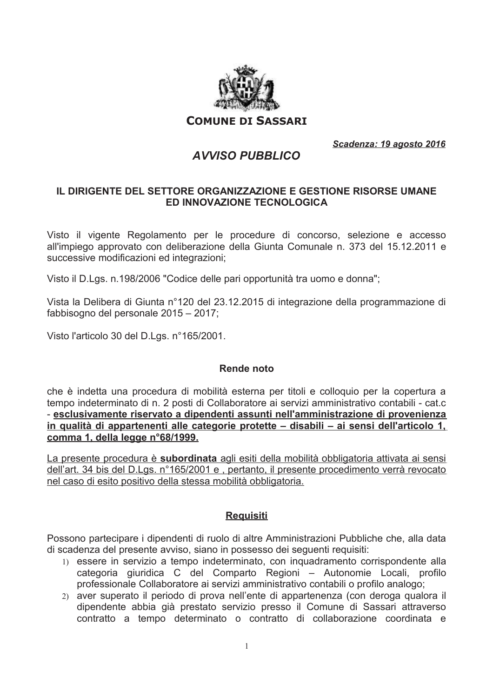

**COMUNE DI SASSARI** 

Scadenza: 19 agosto 2016

# **AVVISO PUBBLICO**

### IL DIRIGENTE DEL SETTORE ORGANIZZAZIONE E GESTIONE RISORSE UMANE ED INNOVAZIONE TECNOLOGICA

Visto il vigente Regolamento per le procedure di concorso, selezione e accesso all'impiego approvato con deliberazione della Giunta Comunale n. 373 del 15.12.2011 e successive modificazioni ed integrazioni;

Visto il D.Lgs. n.198/2006 "Codice delle pari opportunità tra uomo e donna";

Vista la Delibera di Giunta n°120 del 23.12.2015 di integrazione della programmazione di fabbisogno del personale 2015 - 2017;

Visto l'articolo 30 del D.Lgs. n°165/2001.

#### Rende noto

che è indetta una procedura di mobilità esterna per titoli e colloquio per la copertura a tempo indeterminato di n. 2 posti di Collaboratore ai servizi amministrativo contabili - cat.c - esclusivamente riservato a dipendenti assunti nell'amministrazione di provenienza in qualità di appartenenti alle categorie protette - disabili - ai sensi dell'articolo 1, comma 1, della legge n°68/1999.

La presente procedura è subordinata agli esiti della mobilità obbligatoria attivata ai sensi dell'art. 34 bis del D.Lgs. n°165/2001 e , pertanto, il presente procedimento verrà revocato nel caso di esito positivo della stessa mobilità obbligatoria.

#### **Requisiti**

Possono partecipare i dipendenti di ruolo di altre Amministrazioni Pubbliche che, alla data di scadenza del presente avviso, siano in possesso dei sequenti requisiti:

- 1) essere in servizio a tempo indeterminato, con inquadramento corrispondente alla categoria giuridica C del Comparto Regioni - Autonomie Locali, profilo professionale Collaboratore ai servizi amministrativo contabili o profilo analogo;
- 2) aver superato il periodo di prova nell'ente di appartenenza (con deroga qualora il dipendente abbia già prestato servizio presso il Comune di Sassari attraverso contratto a tempo determinato o contratto di collaborazione coordinata e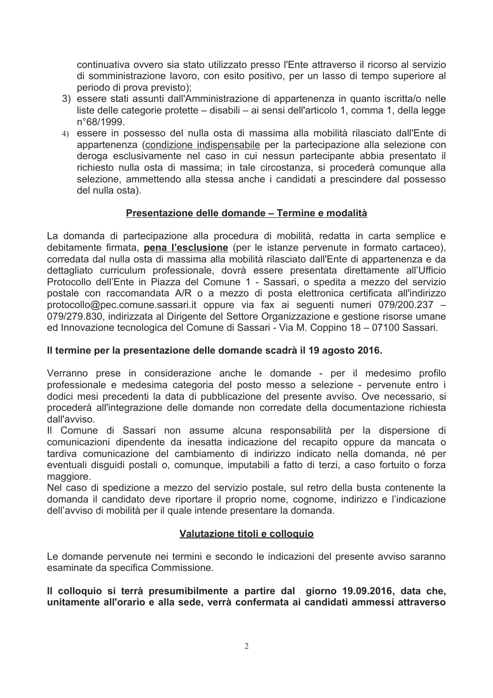continuativa ovvero sia stato utilizzato presso l'Ente attraverso il ricorso al servizio di somministrazione lavoro, con esito positivo, per un lasso di tempo superiore al periodo di prova previsto):

- 3) essere stati assunti dall'Amministrazione di appartenenza in quanto iscritta/o nelle liste delle categorie protette – disabili – ai sensi dell'articolo 1, comma 1, della legge n°68/1999.
- 4) essere in possesso del nulla osta di massima alla mobilità rilasciato dall'Ente di appartenenza (condizione indispensabile per la partecipazione alla selezione con deroga esclusivamente nel caso in cui nessun partecipante abbia presentato il richiesto nulla osta di massima; in tale circostanza, si procederà comunque alla selezione, ammettendo alla stessa anche i candidati a prescindere dal possesso del nulla osta).

## Presentazione delle domande - Termine e modalità

La domanda di partecipazione alla procedura di mobilità, redatta in carta semplice e debitamente firmata, pena l'esclusione (per le istanze pervenute in formato cartaceo), corredata dal nulla osta di massima alla mobilità rilasciato dall'Ente di appartenenza e da dettagliato curriculum professionale, dovrà essere presentata direttamente all'Ufficio Protocollo dell'Ente in Piazza del Comune 1 - Sassari, o spedita a mezzo del servizio postale con raccomandata A/R o a mezzo di posta elettronica certificata all'indirizzo protocollo@pec.comune.sassari.it oppure via fax ai sequenti numeri 079/200.237 -079/279.830, indirizzata al Dirigente del Settore Organizzazione e gestione risorse umane ed Innovazione tecnologica del Comune di Sassari - Via M. Coppino 18 – 07100 Sassari.

#### Il termine per la presentazione delle domande scadrà il 19 agosto 2016.

Verranno prese in considerazione anche le domande - per il medesimo profilo professionale e medesima categoria del posto messo a selezione - pervenute entro i dodici mesi precedenti la data di pubblicazione del presente avviso. Ove necessario, si procederà all'integrazione delle domande non corredate della documentazione richiesta dall'avviso.

Il Comune di Sassari non assume alcuna responsabilità per la dispersione di comunicazioni dipendente da inesatta indicazione del recapito oppure da mancata o tardiva comunicazione del cambiamento di indirizzo indicato nella domanda, né per eventuali disguidi postali o, comunque, imputabili a fatto di terzi, a caso fortuito o forza maggiore.

Nel caso di spedizione a mezzo del servizio postale, sul retro della busta contenente la domanda il candidato deve riportare il proprio nome, cognome, indirizzo e l'indicazione dell'avviso di mobilità per il quale intende presentare la domanda.

## Valutazione titoli e colloquio

Le domande pervenute nei termini e secondo le indicazioni del presente avviso saranno esaminate da specifica Commissione.

Il colloquio si terrà presumibilmente a partire dal giorno 19.09.2016, data che, unitamente all'orario e alla sede, verrà confermata ai candidati ammessi attraverso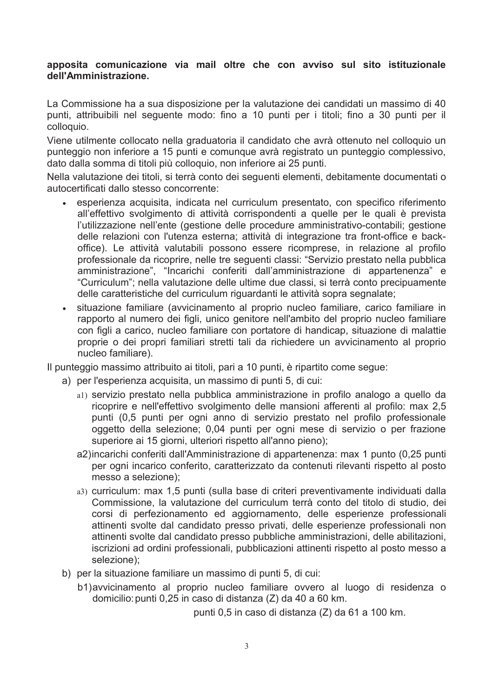#### apposita comunicazione via mail oltre che con avviso sul sito istituzionale dell'Amministrazione.

La Commissione ha a sua disposizione per la valutazione dei candidati un massimo di 40 punti, attribuibili nel seguente modo: fino a 10 punti per i titoli; fino a 30 punti per il colloquio.

Viene utilmente collocato nella graduatoria il candidato che avrà ottenuto nel colloquio un punteggio non inferiore a 15 punti e comunque avrà registrato un punteggio complessivo, dato dalla somma di titoli più colloquio, non inferiore ai 25 punti.

Nella valutazione dei titoli, si terrà conto dei seguenti elementi, debitamente documentati o autocertificati dallo stesso concorrente:

- esperienza acquisita, indicata nel curriculum presentato, con specifico riferimento all'effettivo svolgimento di attività corrispondenti a quelle per le quali è prevista l'utilizzazione nell'ente (gestione delle procedure amministrativo-contabili; gestione delle relazioni con l'utenza esterna; attività di integrazione tra front-office e backoffice). Le attività valutabili possono essere ricomprese, in relazione al profilo professionale da ricoprire, nelle tre seguenti classi: "Servizio prestato nella pubblica amministrazione", "Incarichi conferiti dall'amministrazione di appartenenza" e "Curriculum"; nella valutazione delle ultime due classi, si terrà conto precipuamente delle caratteristiche del curriculum riguardanti le attività sopra segnalate;
- situazione familiare (avvicinamento al proprio nucleo familiare, carico familiare in  $\bullet$ rapporto al numero dei figli, unico genitore nell'ambito del proprio nucleo familiare con figli a carico, nucleo familiare con portatore di handicap, situazione di malattie proprie o dei propri familiari stretti tali da richiedere un avvicinamento al proprio nucleo familiare).

Il punteggio massimo attribuito ai titoli, pari a 10 punti, è ripartito come segue:

- a) per l'esperienza acquisita, un massimo di punti 5, di cui:
	- al) servizio prestato nella pubblica amministrazione in profilo analogo a quello da ricoprire e nell'effettivo svolgimento delle mansioni afferenti al profilo: max 2.5 punti (0,5 punti per ogni anno di servizio prestato nel profilo professionale oggetto della selezione; 0,04 punti per ogni mese di servizio o per frazione superiore ai 15 giorni, ulteriori rispetto all'anno pieno):
	- a2) incarichi conferiti dall'Amministrazione di appartenenza: max 1 punto (0,25 punti per ogni incarico conferito, caratterizzato da contenuti rilevanti rispetto al posto messo a selezione):
	- a3) curriculum: max 1,5 punti (sulla base di criteri preventivamente individuati dalla Commissione, la valutazione del curriculum terrà conto del titolo di studio, dei corsi di perfezionamento ed aggiornamento, delle esperienze professionali attinenti svolte dal candidato presso privati, delle esperienze professionali non attinenti svolte dal candidato presso pubbliche amministrazioni, delle abilitazioni, iscrizioni ad ordini professionali, pubblicazioni attinenti rispetto al posto messo a selezione);
- b) per la situazione familiare un massimo di punti 5, di cui:
	- b1) avvicinamento al proprio nucleo familiare ovvero al luogo di residenza o domicilio: punti 0,25 in caso di distanza (Z) da 40 a 60 km.

punti 0,5 in caso di distanza (Z) da 61 a 100 km.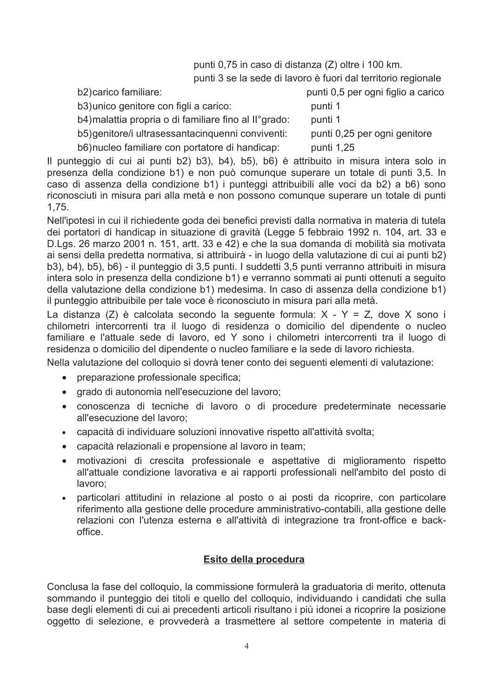punti 0.75 in caso di distanza (Z) oltre i 100 km.

punti 3 se la sede di lavoro è fuori dal territorio regionale

| b2) carico familiare:                                 | punti 0,5 per ogni figlio a carico |
|-------------------------------------------------------|------------------------------------|
| b3) unico genitore con figli a carico:                | punti 1                            |
| b4) malattia propria o di familiare fino al ll°grado: | punti 1                            |
| b5) genitore/i ultrasessantacinquenni conviventi:     | punti 0,25 per ogni genitore       |
| b6) nucleo familiare con portatore di handicap:       | punti 1,25                         |
|                                                       |                                    |

Il punteggio di cui ai punti b2) b3), b4), b5), b6) è attribuito in misura intera solo in presenza della condizione b1) e non può comunque superare un totale di punti 3,5. In caso di assenza della condizione b1) i punteggi attribuibili alle voci da b2) a b6) sono riconosciuti in misura pari alla metà e non possono comunque superare un totale di punti  $1.75.$ 

Nell'ipotesi in cui il richiedente goda dei benefici previsti dalla normativa in materia di tutela dei portatori di handicap in situazione di gravità (Legge 5 febbraio 1992 n. 104, art. 33 e D.Lgs. 26 marzo 2001 n. 151, artt. 33 e 42) e che la sua domanda di mobilità sia motivata ai sensi della predetta normativa, si attribuirà - in luogo della valutazione di cui ai punti b2) b3), b4), b5), b6) - il punteggio di 3,5 punti. I suddetti 3,5 punti verranno attribuiti in misura intera solo in presenza della condizione b1) e verranno sommati ai punti ottenuti a seguito della valutazione della condizione b1) medesima. In caso di assenza della condizione b1) il punteggio attribuibile per tale voce è riconosciuto in misura pari alla metà.

La distanza (Z) è calcolata secondo la sequente formula:  $X - Y = Z$ , dove X sono i chilometri intercorrenti tra il luogo di residenza o domicilio del dipendente o nucleo familiare e l'attuale sede di lavoro, ed Y sono i chilometri intercorrenti tra il luogo di residenza o domicilio del dipendente o nucleo familiare e la sede di lavoro richiesta.

Nella valutazione del colloquio si dovrà tener conto dei sequenti elementi di valutazione:

- $\bullet$ preparazione professionale specifica;
- grado di autonomia nell'esecuzione del lavoro;  $\bullet$
- conoscenza di tecniche di lavoro o di procedure predeterminate necessarie  $\bullet$ all'esecuzione del lavoro;
- capacità di individuare soluzioni innovative rispetto all'attività svolta;  $\bullet$
- capacità relazionali e propensione al lavoro in team;  $\bullet$
- motivazioni di crescita professionale e aspettative di miglioramento rispetto  $\bullet$ all'attuale condizione lavorativa e ai rapporti professionali nell'ambito del posto di lavoro;
- particolari attitudini in relazione al posto o ai posti da ricoprire, con particolare  $\bullet$ riferimento alla gestione delle procedure amministrativo-contabili, alla gestione delle relazioni con l'utenza esterna e all'attività di integrazione tra front-office e backoffice

## Esito della procedura

Conclusa la fase del colloquio, la commissione formulerà la graduatoria di merito, ottenuta sommando il punteggio dei titoli e quello del colloguio, individuando i candidati che sulla base degli elementi di cui ai precedenti articoli risultano i più idonei a ricoprire la posizione oggetto di selezione, e provvederà a trasmettere al settore competente in materia di